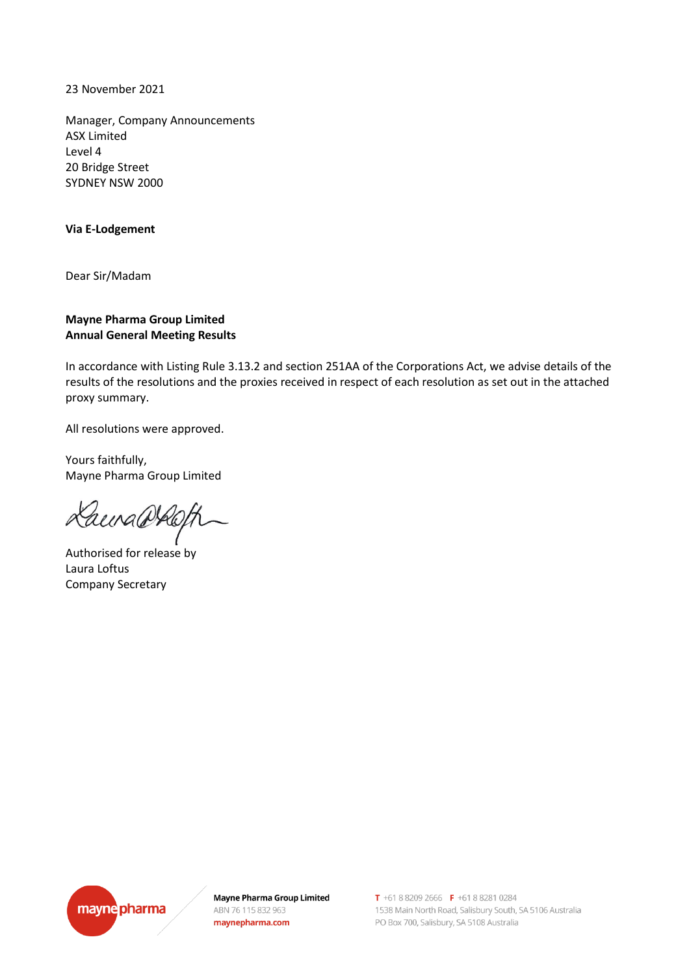23 November 2021

Manager, Company Announcements ASX Limited Level 4 20 Bridge Street SYDNEY NSW 2000

## **Via E-Lodgement**

Dear Sir/Madam

## **Mayne Pharma Group Limited Annual General Meeting Results**

In accordance with Listing Rule 3.13.2 and section 251AA of the Corporations Act, we advise details of the results of the resolutions and the proxies received in respect of each resolution as set out in the attached proxy summary.

All resolutions were approved.

Yours faithfully, Mayne Pharma Group Limited

Laura@Roft

Authorised for release by Laura Loftus Company Secretary



**Mayne Pharma Group Limited** ABN 76 115 832 963 maynepharma.com

T +61 8 8209 2666 F +61 8 8281 0284 1538 Main North Road, Salisbury South, SA 5106 Australia PO Box 700, Salisbury, SA 5108 Australia